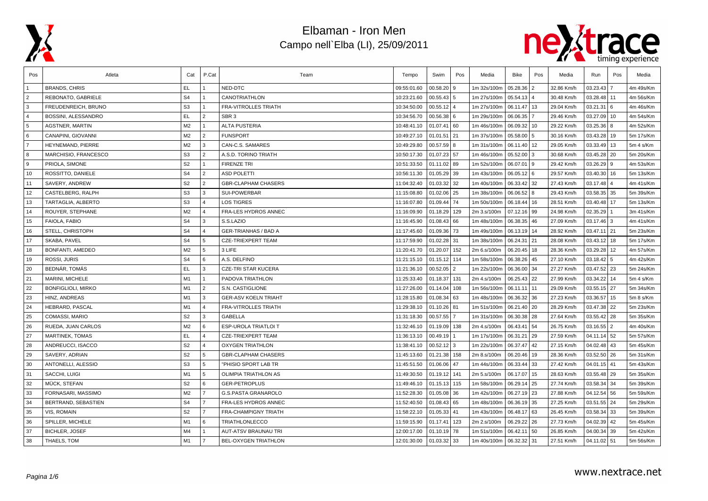



| Pos            | Atleta                    | Cat            | P.Cat                   | Team                        | Tempo       | Swim          | Pos            | Media       | Bike        | Pos | Media      | Run           | Pos      | Media     |
|----------------|---------------------------|----------------|-------------------------|-----------------------------|-------------|---------------|----------------|-------------|-------------|-----|------------|---------------|----------|-----------|
|                | <b>BRANDS, CHRIS</b>      | EL.            |                         | NED-DTC                     | 09:55:01.60 | 00.58.20      | 9              | 1m 32s/100m | 05.28.36 2  |     | 32.86 Km/h | 03.23.43      |          | 4m 49s/Km |
| $\overline{2}$ | REBONATO, GABRIELE        | S <sub>4</sub> |                         | CANOTRIATHLON               | 10:23:21.60 | 00.55.43      | 5              | 1m 27s/100m | 05.54.13 4  |     | 30.48 Km/h | 03.28.48   11 |          | 4m 56s/Km |
| 3              | FREUDENREICH, BRUNO       | S <sub>3</sub> | 1                       | FRA-VITROLLES TRIATH        | 10:34:50.00 | 00.55.12      | $\overline{4}$ | 1m 27s/100m | 06.11.47    | 13  | 29.04 Km/h | $03.21.31$ 6  |          | 4m 46s/Km |
| $\overline{4}$ | BOSSINI, ALESSANDRO       | EL.            | $\overline{2}$          | SBR <sub>3</sub>            | 10:34:56.70 | 00.56.38      | 6              | 1m 29s/100m | 06.06.35    |     | 29.46 Km/h | 03.27.09      | 10       | 4m 54s/Km |
| 5              | <b>AGSTNER, MARTIN</b>    | M <sub>2</sub> |                         | <b>ALTA PUSTERIA</b>        | 10:48:41.10 | 01.07.41      | 60             | 1m 46s/100m | 06.09.32    | 10  | 29.22 Km/h | 03.25.36      | 8        | 4m 52s/Km |
| 6              | CANAPINI, GIOVANNI        | M <sub>2</sub> | $\overline{2}$          | <b>FUNSPORT</b>             | 10:49:27.10 | 01.01.51      | 21             | 1m 37s/100m | 05.58.00    | 5   | 30.16 Km/h | $03.43.28$ 19 |          | 5m 17s/Km |
| $\overline{7}$ | HEYNEMAND, PIERRE         | M2             | 3                       | CAN-C.S. SAMARES            | 10:49:29.80 | 00.57.59      | 8              | 1m 31s/100m | 06.11.40 12 |     | 29.05 Km/h | $03.33.49$ 13 |          | 5m 4 s/Km |
| 8              | MARCHISIO, FRANCESCO      | S <sub>3</sub> | $\overline{2}$          | A.S.D. TORINO TRIATH        | 10:50:17.30 | 01.07.23 57   |                | 1m 46s/100m | 05.52.00    | l 3 | 30.68 Km/h | $03.45.28$ 20 |          | 5m 20s/Km |
| 9              | PRIOLA, SIMONE            | S <sub>2</sub> | 1                       | <b>FIRENZE TRI</b>          | 10:51:33.50 | $01.11.02$ 89 |                | 1m 52s/100m | 06.07.01 9  |     | 29.42 Km/h | $03.26.29$ 9  |          | 4m 53s/Km |
| 10             | ROSSITTO, DANIELE         | S <sub>4</sub> | $\overline{2}$          | <b>ASD POLETTI</b>          | 10:56:11.30 | 01.05.29 39   |                | 1m 43s/100m | 06.05.12 6  |     | 29.57 Km/h | $03.40.30$ 16 |          | 5m 13s/Km |
| 11             | SAVERY, ANDREW            | S <sub>2</sub> | 2                       | <b>GBR-CLAPHAM CHASERS</b>  | 11:04:32.40 | 01.03.32      | 32             | 1m 40s/100m | 06.33.42 32 |     | 27.43 Km/h | $03.17.48$ 4  |          | 4m 41s/Km |
| 12             | CASTELBERG, RALPH         | S <sub>3</sub> | $\mathbf{3}$            | <b>SUI-POWERBAR</b>         | 11:15:08.80 | 01.02.06 25   |                | 1m 38s/100m | 06.06.52    | l 8 | 29.43 Km/h | $03.58.35$ 35 |          | 5m 39s/Km |
| 13             | TARTAGLIA, ALBERTO        | S <sub>3</sub> | $\overline{\mathbf{A}}$ | <b>LOS TIGRES</b>           | 11:16:07.80 | 01.09.44      | 74             | 1m 50s/100m | 06.18.44    | 16  | 28.51 Km/h | 03.40.48   17 |          | 5m 13s/Km |
| 14             | ROUYER, STEPHANE          | M <sub>2</sub> | $\overline{4}$          | FRA-LES HYDROS ANNEC        | 11:16:09.90 | 01.18.29      | 129            | 2m 3.s/100m | 07.12.16 99 |     | 24.98 Km/h | 02.35.29      |          | 3m 41s/Km |
| 15             | FAIOLA, FABIO             | S <sub>4</sub> | 3                       | S.S.LAZIO                   | 11:16:45.90 | 01.08.43      | 66             | 1m 48s/100m | 06.38.35 46 |     | 27.09 Km/h | $03.17.46$ 3  |          | 4m 41s/Km |
| 16             | STELL, CHRISTOPH          | S <sub>4</sub> | $\overline{4}$          | <b>GER-TRIANHAS / BAD A</b> | 11:17:45.60 | 01.09.36 73   |                | 1m 49s/100m | 06.13.19 14 |     | 28.92 Km/h | $03.47.11$ 21 |          | 5m 23s/Km |
| 17             | SKABA, PAVEL              | S <sub>4</sub> | 5                       | <b>CZE-TRIEXPERT TEAM</b>   | 11:17:59.90 | 01.02.28 31   |                | 1m 38s/100m | 06.24.31    | 21  | 28.08 Km/h | $03.43.12$ 18 |          | 5m 17s/Km |
| 18             | BONFANTI, AMEDEO          | M <sub>2</sub> | 5                       | 3 LIFE                      | 11:20:41.70 | 01.20.07      | 152            | 2m 6.s/100m | 06.20.45 18 |     | 28.36 Km/h | 03.29.28      | 12       | 4m 57s/Km |
| 19             | ROSSI, JURIS              | S <sub>4</sub> | 6                       | A.S. DELFINO                | 11:21:15.10 | 01.15.12      | 114            | 1m 58s/100m | 06.38.26 45 |     | 27.10 Km/h | 03.18.42      | 5        | 4m 42s/Km |
| 20             | BEDNÁR, TOMÁS             | EL.            | 3                       | <b>CZE-TRI STAR KUCERA</b>  | 11:21:36.10 | 00.52.05      | $\overline{2}$ | 1m 22s/100m | 06.36.00 34 |     | 27.27 Km/h | 03.47.52 23   |          | 5m 24s/Km |
| 21             | MARINI, MICHELE           | M1             | 1                       | PADOVA TRIATHLON            | 11:25:33.40 | 01.18.37      | 131            | 2m 4.s/100m | 06.25.43 22 |     | 27.99 Km/h | 03.34.22      | 14       | 5m 4 s/Km |
| 22             | <b>BONFIGLIOLI, MIRKO</b> | M1             | 2                       | S.N. CASTIGLIONE            | 11:27:26.00 | 01.14.04      | 108            | 1m 56s/100m | 06.11.11    | 11  | 29.09 Km/h | $03.55.15$ 27 |          | 5m 34s/Km |
| 23             | HINZ. ANDREAS             | M1             | 3                       | <b>GER-ASV KOELN TRIAHT</b> | 11:28:15.80 | 01.08.34      | 63             | 1m 48s/100m | 06.36.32    | 36  | 27.23 Km/h | 03.36.57      | 15       | 5m 8 s/Km |
| 24             | HEBRARD, PASCAL           | M1             | $\overline{4}$          | FRA-VITROLLES TRIATH        | 11:29:38.10 | 01.10.26      | 81             | 1m 51s/100m | 06.21.40 20 |     | 28.29 Km/h | 03.47.38 22   |          | 5m 23s/Km |
| 25             | COMASSI, MARIO            | S <sub>2</sub> | 3                       | GABELLA                     | 11:31:18.30 | 00.57.55      |                | 1m 31s/100m | 06.30.38 28 |     | 27.64 Km/h | 03.55.42 28   |          | 5m 35s/Km |
| 26             | RUEDA, JUAN CARLOS        | M2             | 6                       | ESP-UROLA TRIATLOI T        | 11:32:46.10 | 01.19.09      | 138            | 2m 4.s/100m | 06.43.41    | 54  | 26.75 Km/h | 03.16.55      | <u>2</u> | 4m 40s/Km |
| 27             | <b>MARTINEK, TOMAS</b>    | EL.            | $\overline{4}$          | <b>CZE-TRIEXPERT TEAM</b>   | 11:36:13.10 | 00.49.19      |                | 1m 17s/100m | 06.31.21    | 29  | 27.59 Km/h | $04.11.14$ 52 |          | 5m 57s/Km |
| 28             | ANDREUCCI, ISACCO         | S <sub>2</sub> | $\overline{4}$          | <b>OXYGEN TRIATHLON</b>     | 11:38:41.10 | $00.52.12$ 3  |                | 1m 22s/100m | 06.37.47    | 42  | 27.15 Km/h | $04.02.48$ 43 |          | 5m 45s/Km |
| 29             | SAVERY, ADRIAN            | S <sub>2</sub> | 5                       | <b>GBR-CLAPHAM CHASERS</b>  | 11:45:13.60 | 01.21.38      | 158            | 2m 8.s/100m | 06.20.46 19 |     | 28.36 Km/h | $03.52.50$ 26 |          | 5m 31s/Km |
| 30             | ANTONELLI, ALESSIO        | S <sub>3</sub> | 5                       | "PHISIO SPORT LAB TR        | 11:45:51.50 | 01.06.06      | 47             | 1m 44s/100m | 06.33.44    | 33  | 27.42 Km/h | $04.01.15$ 41 |          | 5m 43s/Km |
| 31             | SACCHI, LUIGI             | M1             | 5                       | OLIMPIA TRIATHLON AS        | 11:49:30.50 | 01.19.12      | 141            | 2m 5.s/100m | 06.17.07    | 15  | 28.63 Km/h | 03.55.48 29   |          | 5m 35s/Km |
| 32             | MÜCK, STEFAN              | S <sub>2</sub> | 6                       | <b>GER-PETROPLUS</b>        | 11:49:46.10 | 01.15.13      | 115            | 1m 58s/100m | 06.29.14    | 25  | 27.74 Km/h | 03.58.34      | 34       | 5m 39s/Km |
| 33             | FORNASARI, MASSIMO        | M2             | $\overline{7}$          | <b>G.S.PASTA GRANAROLO</b>  | 11:52:28.30 | 01.05.08      | 36             | 1m 42s/100m | 06.27.19    | 23  | 27.88 Km/h | 04.12.54      | 56       | 5m 59s/Km |
| 34             | BERTRAND, SEBASTIEN       | S <sub>4</sub> | $\overline{7}$          | FRA-LES HYDROS ANNEC        | 11:52:40.50 | 01.08.43 65   |                | 1m 48s/100m | 06.36.19 35 |     | 27.25 Km/h | 03.51.55 24   |          | 5m 29s/Km |
| 35             | VIS, ROMAIN               | S <sub>2</sub> | $\overline{7}$          | FRA-CHAMPIGNY TRIATH        | 11:58:22.10 | 01.05.33 41   |                | 1m 43s/100m | 06.48.17 63 |     | 26.45 Km/h | $03.58.34$ 33 |          | 5m 39s/Km |
| 36             | SPILLER, MICHELE          | M1             | 6                       | TRIATHLONLECCO              | 11:59:15.90 | 01.17.41      | 123            | 2m 2.s/100m | 06.29.22    | 26  | 27.73 Km/h | $04.02.39$ 42 |          | 5m 45s/Km |
| 37             | <b>BICHLER, JOSEF</b>     | M4             |                         | AUT-ATSV BRAUNAU TRI        | 12:00:17.00 | 01.10.19 78   |                | 1m 51s/100m | 06.42.11    | 50  | 26.85 Km/h | 04.00.34      | 39       | 5m 42s/Km |
| 38             | THAELS, TOM               | M1             | $\overline{7}$          | BEL-OXYGEN TRIATHLON        | 12:01:30.00 | 01.03.32      | 33             | 1m 40s/100m | 06.32.32 31 |     | 27.51 Km/h | 04.11.02 51   |          | 5m 56s/Km |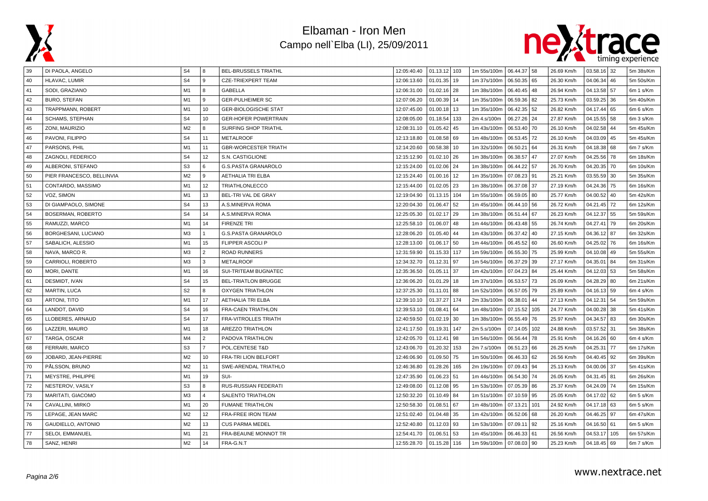



| 39 | DI PAOLA, ANGELO          | S4             | 8                       | BEL-BRUSSELS TRIATHL        | 12:05:40.40 | $01.13.12$ 103  | 1m 55s/100m   06.44.37   58 |              |     | 26.69 Km/h | $03.58.16$ 32    |     | 5m 38s/Km |
|----|---------------------------|----------------|-------------------------|-----------------------------|-------------|-----------------|-----------------------------|--------------|-----|------------|------------------|-----|-----------|
| 40 | HLAVAC, LUMIR             | S <sub>4</sub> | 9                       | <b>CZE-TRIEXPERT TEAM</b>   | 12:06:13.60 | 01.01.35<br>19  | 1m 37s/100m                 | 06.50.35 65  |     | 26.30 Km/h | 04.06.34         | 46  | 5m 50s/Km |
| 41 | SODI, GRAZIANO            | M1             | 8                       | <b>GABELLA</b>              | 12:06:31.00 | $01.02.16$ 28   | 1m 38s/100m                 | 06.40.45 48  |     | 26.94 Km/h | 04.13.58         | 57  | 6m 1 s/Km |
| 42 | <b>BURO, STEFAN</b>       | M1             | 9                       | <b>GER-PULHEIMER SC</b>     | 12:07:06.20 | 01.00.39<br>14  | 1m 35s/100m                 | 06.59.36 82  |     | 25.73 Km/h | 03.59.25         | 36  | 5m 40s/Km |
| 43 | TRAPPMANN, ROBERT         | M1             | 10                      | <b>GER-BIOLOGISCHE STAT</b> | 12:07:45.00 | $01.00.18$ 13   | 1m 35s/100m                 | 06.42.35 52  |     | 26.82 Km/h | 04.17.44<br>65   |     | 6m 6 s/Km |
| 44 | <b>SCHAMS, STEPHAN</b>    | S <sub>4</sub> | 10                      | <b>GER-HOFER POWERTRAIN</b> | 12:08:05.00 | 133<br>01.18.54 | 2m 4.s/100m                 | 06.27.26 24  |     | 27.87 Km/h | 04.15.55         | 58  | 6m 3 s/Km |
| 45 | ZONI, MAURIZIO            | M <sub>2</sub> | R                       | SURFING SHOP TRIATHL        | 12:08:31.10 | 01.05.42<br>45  | 1m 43s/100m                 | 06.53.40 70  |     | 26.10 Km/h | 04.02.58         | 44  | 5m 45s/Km |
| 46 | PAVONI, FILIPPO           | S <sub>4</sub> | 11                      | <b>METALROOF</b>            | 12:13:18.80 | 01.08.58<br>69  | 1m 48s/100m                 | 06.53.45 72  |     | 26.10 Km/h | 04.03.09         | 45  | 5m 45s/Km |
| 47 | PARSONS, PHIL             | M1             | 11                      | <b>GBR-WORCESTER TRIATH</b> | 12:14:20.60 | 00.58.38<br>10  | 1m 32s/100m                 | 06.50.21     | 64  | 26.31 Km/h | 04.18.38<br>68   |     | 6m 7 s/Km |
| 48 | ZAGNOLI, FEDERICO         | S <sub>4</sub> | 12                      | S.N. CASTIGLIONE            | 12:15:12.90 | 01.02.10<br>26  | 1m 38s/100m                 | 06.38.57 47  |     | 27.07 Km/h | 04.25.56         | 78  | 6m 18s/Km |
| 49 | ALBERONI, STEFANO         | S <sub>3</sub> | 6                       | <b>G.S.PASTA GRANAROLO</b>  | 12:15:24.00 | 01.02.06<br>24  | 1m 38s/100m                 | 06.44.22 57  |     | 26.70 Km/h | 04.20.35         | 70  | 6m 10s/Km |
| 50 | PIER FRANCESCO, BELLINVIA | M <sub>2</sub> | 9                       | <b>AETHALIA TRI ELBA</b>    | 12:15:24.40 | 01.00.16<br>12  | 1m 35s/100m                 | 07.08.23 91  |     | 25.21 Km/h | 03.55.59         | 30  | 5m 35s/Km |
| 51 | CONTARDO, MASSIMO         | M1             | 12                      | <b>TRIATHLONLECCO</b>       | 12:15:44.00 | 01.02.05<br>23  | 1m 38s/100m                 | 06.37.08 37  |     | 27.19 Km/h | 04.24.36         | 75  | 6m 16s/Km |
| 52 | VOZ, SIMON                | M1             | 13                      | BEL-TRI VAL DE GRAY         | 12:19:04.90 | 01.13.15<br>104 | 1m 55s/100m                 | 06.59.05 80  |     | 25.77 Km/h | 04.00.52         | 40  | 5m 42s/Km |
| 53 | DI GIAMPAOLO, SIMONE      | S <sub>4</sub> | 13                      | A.S.MINERVA ROMA            | 12:20:04.30 | 01.06.47<br>52  | 1m 45s/100m                 | 06.44.10 56  |     | 26.72 Km/h | 04.21.45         | 72  | 6m 12s/Km |
| 54 | BOSERMAN, ROBERTO         | S <sub>4</sub> | 14                      | A.S.MINERVA ROMA            | 12:25:05.30 | 01.02.17<br>29  | 1m 38s/100m                 | 06.51.44 67  |     | 26.23 Km/h | 04.12.37         | 55  | 5m 59s/Km |
| 55 | RAMUZZI, MARCO            | M1             | 14                      | <b>FIRENZE TRI</b>          | 12:25:58.10 | 01.06.07<br>48  | 1m 44s/100m                 | 06.43.48 55  |     | 26.74 Km/h | 04.27.41         | 79  | 6m 20s/Km |
| 56 | BORGHESANI, LUCIANO       | M3             | $\mathbf{1}$            | <b>G.S.PASTA GRANAROLO</b>  | 12:28:06.20 | 01.05.40<br>44  | 1m 43s/100m                 | 06.37.42 40  |     | 27.15 Km/h | 04.36.12         | 87  | 6m 32s/Km |
| 57 | SABALICH, ALESSIO         | M1             | 15                      | <b>FLIPPER ASCOLIP</b>      | 12:28:13.00 | $01.06.17$ 50   | 1m 44s/100m                 | 06.45.52 60  |     | 26.60 Km/h | 04.25.02         | 76  | 6m 16s/Km |
| 58 | NAVA, MARCO R.            | M <sub>3</sub> | $\overline{2}$          | <b>ROAD RUNNERS</b>         | 12:31:59.90 | 01.15.33<br>117 | 1m 59s/100m                 | 06.55.30 75  |     | 25.99 Km/h | 04.10.08         | 49  | 5m 55s/Km |
| 59 | CARRIOLI, ROBERTO         | M3             | 3                       | <b>METALROOF</b>            | 12:34:32.70 | 01.12.31<br>97  | 1m 54s/100m                 | 06.37.29 39  |     | 27.17 Km/h | 04.35.01         | 84  | 6m 31s/Km |
| 60 | MORI, DANTE               | M1             | 16                      | SUI-TRITEAM BUGNATEC        | 12:35:36.50 | 01.05.11<br>37  | 1m 42s/100m                 | 07.04.23 84  |     | 25.44 Km/h | 04.12.03<br>53   |     | 5m 58s/Km |
| 61 | DESMIDT, IVAN             | S <sub>4</sub> | 15                      | <b>BEL-TRIATLON BRUGGE</b>  | 12:36:06.20 | 01.01.29<br>18  | 1m 37s/100m                 | 06.53.57 73  |     | 26.09 Km/h | 04.28.29         | 80  | 6m 21s/Km |
| 62 | <b>MARTIN, LUCA</b>       | S <sub>2</sub> | 8                       | <b>OXYGEN TRIATHLON</b>     | 12:37:25.30 | 01.11.01<br>88  | 1m 52s/100m                 | 06.57.05 79  |     | 25.89 Km/h | 04.16.13         | 59  | 6m 4 s/Km |
| 63 | ARTONI, TITO              | M <sub>1</sub> | 17                      | <b>AETHALIA TRI ELBA</b>    | 12:39:10.10 | 01.37.27<br>174 | 2m 33s/100m                 | 06.38.01     | 44  | 27.13 Km/h | 04.12.31         | 54  | 5m 59s/Km |
| 64 | LANDOT, DAVID             | S <sub>4</sub> | 16                      | <b>FRA-CAEN TRIATHLON</b>   | 12:39:53.10 | 01.08.41<br>64  | 1m 48s/100m                 | 07.15.52 105 |     | 24.77 Km/h | 38<br>04.00.28   |     | 5m 41s/Km |
| 65 | LLOBERES, ARNAUD          | S <sub>4</sub> | 17                      | <b>FRA-VITROLLES TRIATH</b> | 12:40:59.50 | 01.02.19<br>30  | 1m 38s/100m                 | 06.55.49     | 76  | 25.97 Km/h | 04.34.57         | 83  | 6m 30s/Km |
| 66 | LAZZERI, MAURO            | M <sub>1</sub> | 18                      | <b>AREZZO TRIATHLON</b>     | 12:41:17.50 | 01.19.31<br>147 | 2m 5.s/100m                 | 07.14.05     | 102 | 24.88 Km/h | 03.57.52<br>31   |     | 5m 38s/Km |
| 67 | TARGA, OSCAR              | M <sub>4</sub> | $\overline{2}$          | PADOVA TRIATHLON            | 12:42:05.70 | 01.12.41<br>98  | 1m 54s/100m                 | 06.56.44     | 78  | 25.91 Km/h | 04.16.26         | 60  | 6m 4 s/Km |
| 68 | FERRARI, MARCO            | S <sub>3</sub> | $\overline{7}$          | POL.CENTESE T&D             | 12:43:06.70 | 01.20.32<br>153 | 2m 7.s/100m                 | 06.51.23 66  |     | 26.25 Km/h | 04.25.31         | 77  | 6m 17s/Km |
| 69 | JOBARD, JEAN-PIERRE       | M <sub>2</sub> | 10                      | FRA-TRI LION BELFORT        | 12:46:06.90 | 01.09.50<br>75  | 1m 50s/100m                 | 06.46.33 62  |     | 26.56 Km/h | $04.40.45$ 92    |     | 6m 39s/Km |
| 70 | PÅLSSON, BRUNO            | M <sub>2</sub> | 11                      | SWE-ARENDAL TRIATHLO        | 12:46:36.80 | 01.28.26<br>165 | 2m 19s/100m                 | 07.09.43 94  |     | 25.13 Km/h | 04.00.06<br>37   |     | 5m 41s/Km |
| 71 | MEYSTRE, PHILIPPE         | M <sub>1</sub> | 19                      | SUI-                        | 12:47:35.90 | 01.06.23<br>51  | 1m 44s/100m                 | 06.54.30 74  |     | 26.05 Km/h | 04.31.45 81      |     | 6m 26s/Km |
| 72 | NESTEROV, VASILY          | S <sub>3</sub> | 8                       | RUS-RUSSIAN FEDERATI        | 12:49:08.00 | 01.12.08<br>95  | 1m 53s/100m                 | 07.05.39 86  |     | 25.37 Km/h | 04.24.09         | 74  | 6m 15s/Km |
| 73 | MARITATI, GIACOMO         | M3             | $\overline{\mathbf{A}}$ | <b>SALENTO TRIATHLON</b>    | 12:50:32.20 | 01.10.49<br>84  | 1m 51s/100m                 | 07.10.59 95  |     | 25.05 Km/h | 04.17.02<br>62   |     | 6m 5 s/Km |
| 74 | CAVALLINI, MIRKO          | M1             | 20                      | <b>FUMANE TRIATHLON</b>     | 12:50:58.30 | 01.08.51<br>67  | 1m 48s/100m                 | 07.13.21     | 101 | 24.92 Km/h | 04.17.18         | 63  | 6m 5 s/Km |
| 75 | LEPAGE, JEAN MARC         | M <sub>2</sub> | 12                      | FRA-FREE IRON TEAM          | 12:51:02.40 | 01.04.48<br>35  | 1m 42s/100m                 | 06.52.06 68  |     | 26.20 Km/h | 04.46.25<br>l 97 |     | 6m 47s/Km |
| 76 | GAUDIELLO, ANTONIO        | M <sub>2</sub> | 13                      | <b>CUS PARMA MEDEL</b>      | 12:52:40.80 | 93<br>01.12.03  | 1m 53s/100m                 | 07.09.11 92  |     | 25.16 Km/h | 04.16.50<br>l 61 |     | 6m 5 s/Km |
| 77 | SELOI, EMMANUEL           | M1             | 21                      | <b>FRA-BEAUNE MONNOT TR</b> | 12:54:41.70 | 01.06.51<br>53  | 1m 45s/100m                 | 06.46.33 61  |     | 26.56 Km/h | 04.53.17         | 105 | 6m 57s/Km |
| 78 | SANZ, HENRI               | M <sub>2</sub> | 14                      | FRA-G.N.T                   | 12:55:28.70 | $01.15.28$ 116  | 1m 59s/100m                 | 07.08.03 90  |     | 25.23 Km/h | $04.18.45$ 69    |     | 6m 7 s/Km |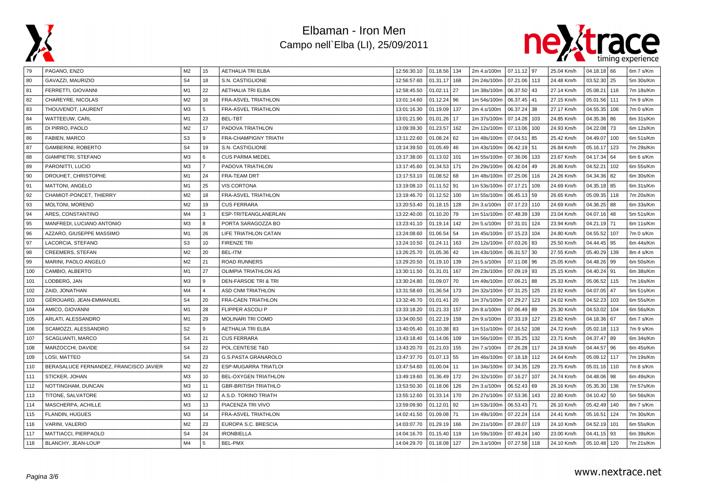



| 79  | PAGANO, ENZO                           | M <sub>2</sub> | 15             | AETHALIA TRI ELBA           | 12:56:30.10 | 01.18.56 134    | 2m 4.s/100m | 07.11.12 97  |     | 25.04 Km/h | $04.18.18$ 66 |      | 6m 7 s/Km |
|-----|----------------------------------------|----------------|----------------|-----------------------------|-------------|-----------------|-------------|--------------|-----|------------|---------------|------|-----------|
| 80  | GAVAZZI, MAURIZIO                      | S <sub>4</sub> | 18             | S.N. CASTIGLIONE            | 12:56:57.60 | 01.31.17 168    | 2m 24s/100m | 07.21.06 113 |     | 24.48 Km/h | 03.52.30      | 25   | 5m 30s/Km |
| 81  | FERRETTI, GIOVANNI                     | M1             | 22             | <b>AETHALIA TRI ELBA</b>    | 12:58:45.50 | 01.02.11<br>27  | 1m 38s/100m | 06.37.50 43  |     | 27.14 Km/h | 05.08.21      | 116  | 7m 18s/Km |
| 82  | CHAREYRE, NICOLAS                      | M <sub>2</sub> | 16             | FRA-ASVEL TRIATHLON         | 13:01:14.60 | 01.12.24<br>96  | 1m 54s/100m | 06.37.45     | 41  | 27.15 Km/h | 05.01.56      | 111  | 7m 9 s/Km |
| 83  | THOUVENOT, LAURENT                     | M3             | 5              | FRA-ASVEL TRIATHLON         | 13:01:16.30 | 01.19.09<br>137 | 2m 4.s/100m | 06.37.24 38  |     | 27.17 Km/h | 04.55.35      | 106  | 7m 0 s/Km |
| 84  | WATTEEUW, CARL                         | M1             | 23             | BEL-TBT                     | 13:01:21.90 | 01.01.26<br>17  | 1m 37s/100m | 07.14.28 103 |     | 24.85 Km/h | 04.35.36      | 86   | 6m 31s/Km |
| 85  | DI PIRRO, PAOLO                        | M <sub>2</sub> | 17             | PADOVA TRIATHLON            | 13:09:39.30 | 01.23.57<br>162 | 2m 12s/100m | 07.13.06 100 |     | 24.93 Km/h | 04.22.08      | 73   | 6m 12s/Km |
| 86  | FABIEN, MARCO                          | S <sub>3</sub> | 9              | FRA-CHAMPIGNY TRIATH        | 13:11:22.60 | 01.08.24<br>62  | 1m 48s/100m | 07.04.51     | 85  | 25.42 Km/h | 04.49.07      | 100  | 6m 51s/Km |
| 87  | <b>GAMBERINI, ROBERTO</b>              | S <sub>4</sub> | 19             | S.N. CASTIGLIONE            | 13:14:39.50 | 01.05.49<br>46  | 1m 43s/100m | 06.42.19 51  |     | 26.84 Km/h | 05.16.17      | 123  | 7m 29s/Km |
| 88  | GIAMPIETRI, STEFANO                    | M3             | 6              | <b>CUS PARMA MEDEL</b>      | 13:17:38.00 | 01.13.02<br>101 | 1m 55s/100m | 07.36.06 133 |     | 23.67 Km/h | 04.17.34      | 64   | 6m 6 s/Km |
| 89  | PARONITTI, LUCIO                       | M3             | $\overline{7}$ | PADOVA TRIATHLON            | 13:17:45.60 | 01.34.53<br>171 | 2m 29s/100m | 06.42.04 49  |     | 26.86 Km/h | 04.52.21      | 102  | 6m 55s/Km |
| 90  | DROUHET, CHRISTOPHE                    | M1             | 24             | FRA-TEAM DRT                | 13:17:53.10 | 01.08.52<br>68  | 1m 48s/100m | 07.25.06 116 |     | 24.26 Km/h | 04.34.36      | 82   | 6m 30s/Km |
| 91  | MATTONI, ANGELO                        | M1             | 25             | <b>VIS CORTONA</b>          | 13:19:08.10 | 01.11.52<br>91  | 1m 53s/100m | 07.17.21     | 109 | 24.69 Km/h | 04.35.18      | 85   | 6m 31s/Km |
| 92  | CHAMIOT-PONCET, THIERRY                | M <sub>2</sub> | 18             | FRA-ASVEL TRIATHLON         | 13:19:46.70 | 01.12.52<br>100 | 1m 55s/100m | 06.45.13 59  |     | 26.65 Km/h | 05.09.35      | 118  | 7m 20s/Km |
| 93  | MOLTONI, MORENO                        | M <sub>2</sub> | 19             | <b>CUS FERRARA</b>          | 13:20:53.40 | 01.18.15<br>128 | 2m 3.s/100m | 07.17.23 110 |     | 24.69 Km/h | 04.36.25      | 88   | 6m 33s/Km |
| 94  | ARES, CONSTANTINO                      | M <sub>4</sub> | 3              | ESP-TRITEANGLANERLAN        | 13:22:40.00 | 01.10.20<br>79  | 1m 51s/100m | 07.48.39 139 |     | 23.04 Km/h | 04.07.16      | 48   | 5m 51s/Km |
| 95  | MANFREDI, LUCIANO ANTONIO              | M3             | 8              | PORTA SARAGOZZA BO          | 13:23:41.10 | 01.19.14<br>142 | 2m 5.s/100m | 07.31.01 124 |     | 23.94 Km/h | 04.21.19      | l 71 | 6m 11s/Km |
| 96  | AZZARO, GIUSEPPE MASSIMO               | M1             | 26             | LIFE TRIATHLON CATAN        | 13:24:08.60 | 01.06.54<br>54  | 1m 45s/100m | 07.15.23 104 |     | 24.80 Km/h | 04.55.52      | 107  | 7m 0 s/Km |
| 97  | LACORCIA, STEFANO                      | S <sub>3</sub> | 10             | <b>FIRENZE TRI</b>          | 13:24:10.50 | 01.24.11<br>163 | 2m 12s/100m | 07.03.26 83  |     | 25.50 Km/h | 04.44.45      | 95   | 6m 44s/Km |
| 98  | <b>CREEMERS, STEFAN</b>                | M <sub>2</sub> | 20             | <b>BEL-ITM</b>              | 13:26:25.70 | 01.05.36<br>42  | 1m 43s/100m | 06.31.57 30  |     | 27.55 Km/h | 05.40.29      | 139  | 8m 4 s/Km |
| 99  | MARINI, PAOLO ANGELO                   | M <sub>2</sub> | 21             | <b>ROAD RUNNERS</b>         | 13:29:20.50 | 01.19.10<br>139 | 2m 5.s/100m | 07.11.08 96  |     | 25.05 Km/h | 04.48.26      | 99   | 6m 50s/Km |
| 100 | CAMBIO, ALBERTO                        | M1             | 27             | OLIMPIA TRIATHLON AS        | 13:30:11.50 | 01.31.01<br>167 | 2m 23s/100m | 07.09.19 93  |     | 25.15 Km/h | 04.40.24      | l 91 | 6m 38s/Km |
| 101 | LODBERG, JAN                           | M <sub>3</sub> | 9              | DEN-FARSOE TRI & TRI        | 13:30:24.80 | 01.09.07<br>70  | 1m 49s/100m | 07.06.21 88  |     | 25.33 Km/h | 05.06.52      | 115  | 7m 16s/Km |
| 102 | ZAID, JONATHAN                         | M <sub>4</sub> | $\overline{4}$ | <b>ASD CNM TRIATHLON</b>    | 13:31:58.60 | 01.36.54<br>173 | 2m 32s/100m | 07.31.25 125 |     | 23.92 Km/h | 04.07.05      | 47   | 5m 51s/Km |
| 103 | GÉROUARD, JEAN-EMMANUEL                | S <sub>4</sub> | 20             | <b>FRA-CAEN TRIATHLON</b>   | 13:32:46.70 | 01.01.41<br>20  | 1m 37s/100m | 07.29.27     | 123 | 24.02 Km/h | 04.52.23      | 103  | 6m 55s/Km |
| 104 | AMICO, GIOVANNI                        | M1             | 28             | <b>FLIPPER ASCOLIP</b>      | 13:33:18.20 | 01.21.33<br>157 | 2m 8.s/100m | 07.06.49 89  |     | 25.30 Km/h | 04.53.02      | 104  | 6m 56s/Km |
| 105 | ARLATI, ALESSANDRO                     | M <sub>1</sub> | 29             | MOLINARI TRI COMO           | 13:34:00.50 | 01.22.19<br>159 | 2m 9.s/100m | 07.33.19 127 |     | 23.82 Km/h | 04.18.36      | 67   | 6m 7 s/Km |
| 106 | SCAMOZZI, ALESSANDRO                   | S <sub>2</sub> | 9              | <b>AETHALIA TRI ELBA</b>    | 13:40:05.40 | 01.10.38<br>83  | 1m 51s/100m | 07.16.52 108 |     | 24.72 Km/h | 05.02.18      | 113  | 7m 9 s/Km |
| 107 | SCAGLIANTI, MARCO                      | S <sub>4</sub> | 21             | <b>CUS FERRARA</b>          | 13:43:18.40 | 01.14.06<br>109 | 1m 56s/100m | 07.35.25     | 132 | 23.71 Km/h | 04.37.47      | 89   | 6m 34s/Km |
| 108 | MARZOCCHI, DAVIDE                      | S <sub>4</sub> | 22             | POL.CENTESE T&D             | 13:43:20.70 | 01.21.03<br>155 | 2m 7.s/100m | 07.26.28 117 |     | 24.18 Km/h | 04.44.57      | 96   | 6m 45s/Km |
| 109 | LOSI, MATTEO                           | S <sub>4</sub> | 23             | <b>G.S.PASTA GRANAROLO</b>  | 13:47:37.70 | 01.07.13<br>55  | 1m 46s/100m | 07.18.18 112 |     | 24.64 Km/h | 05.09.12      | 117  | 7m 19s/Km |
| 110 | BERASALUCE FERNANDEZ, FRANCISCO JAVIER | M2             | 22             | ESP-MUGARRA TRIATLOI        | 13:47:54.60 | 01.00.04<br>11  | 1m 34s/100m | 07.34.35 129 |     | 23.75 Km/h | 05.01.16      | 110  | 7m 8 s/Km |
| 111 | STICKER, JOHAN                         | M <sub>3</sub> | 10             | BEL-OXYGEN TRIATHLON        | 13:49:19.60 | 01.36.49<br>172 | 2m 32s/100m | 07.16.27     | 107 | 24.74 Km/h | 04.48.06      | 98   | 6m 49s/Km |
| 112 | NOTTINGHAM, DUNCAN                     | M <sub>3</sub> | 11             | <b>GBR-BRITISH TRIATHLO</b> | 13:53:50.30 | 01.18.06<br>126 | 2m 3.s/100m | 06.52.43 69  |     | 26.16 Km/h | 05.35.30      | 136  | 7m 57s/Km |
| 113 | TITONE, SALVATORE                      | M3             | 12             | A.S.D. TORINO TRIATH        | 13:55:12.60 | 01.33.14<br>170 | 2m 27s/100m | 07.53.36 143 |     | 22.80 Km/h | 04.10.42      | l 50 | 5m 56s/Km |
| 114 | MASCHERPA, ACHILLE                     | M3             | 13             | PIACENZA TRI VIVO           | 13:59:09.90 | 01.12.01<br>92  | 1m 53s/100m | 06.53.43     | 71  | 26.10 Km/h | 05.42.49      | 140  | 8m 7 s/Km |
| 115 | FLANDIN, HUGUES                        | M <sub>3</sub> | 14             | FRA-ASVEL TRIATHLON         | 14:02:41.50 | 01.09.08<br>71  | 1m 49s/100m | 07.22.24 114 |     | 24.41 Km/h | 05.16.51      | 124  | 7m 30s/Km |
| 116 | VARINI, VALERIO                        | M <sub>2</sub> | 23             | EUROPA S.C. BRESCIA         | 14:03:07.70 | 01.29.19<br>166 | 2m 21s/100m | 07.28.07 119 |     | 24.10 Km/h | 04.52.19      | 101  | 6m 55s/Km |
| 117 | MATTIACCI, PIERPAOLO                   | S <sub>4</sub> | 24             | <b>IRONBIELLA</b>           | 14:04:16.70 | 01.15.40<br>119 | 1m 59s/100m | 07.49.24     | 140 | 23.00 Km/h | 04.41.15      | 93   | 6m 39s/Km |
| 118 | BLANCHY, JEAN-LOUP                     | M4             | 5              | BEL-PMX                     | 14:04:29.70 | 01.18.08<br>127 | 2m 3.s/100m | 07.27.58 118 |     | 24.10 Km/h | 05.10.48 120  |      | 7m 21s/Km |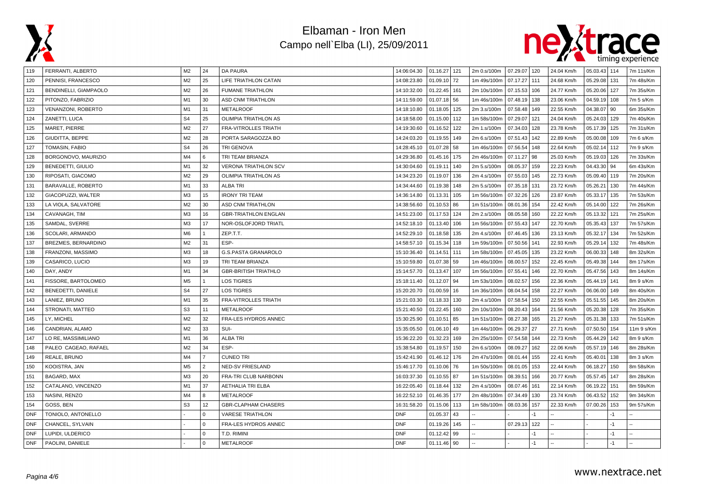



| 119        | FERRANTI, ALBERTO         | M2             | 24             | DA PAURA                    | 14:06:04.30 | 01.16.27 121  |     | 2m 0.s/100m | 07.29.07 120 |      | 24.04 Km/h | 05.03.43 | 114  | 7m 11s/Km  |
|------------|---------------------------|----------------|----------------|-----------------------------|-------------|---------------|-----|-------------|--------------|------|------------|----------|------|------------|
| 120        | PENNISI, FRANCESCO        | M <sub>2</sub> | 25             | LIFE TRIATHLON CATAN        | 14:08:23.80 | 01.09.10 72   |     | 1m 49s/100m | 07.17.27     | 111  | 24.68 Km/h | 05.29.08 | 131  | 7m 48s/Km  |
| 121        | BENDINELLI, GIAMPAOLO     | M2             | 26             | <b>FUMANE TRIATHLON</b>     | 14:10:32.00 | 01.22.45      | 161 | 2m 10s/100m | 07.15.53     | 106  | 24.77 Km/h | 05.20.06 | 127  | 7m 35s/Km  |
| 122        | PITONZO, FABRIZIO         | M1             | 30             | ASD CNM TRIATHLON           | 14:11:59.00 | 01.07.18 56   |     | 1m 46s/100m | 07.48.19     | 138  | 23.06 Km/h | 04.59.19 | 108  | 7m 5 s/Km  |
| 123        | <b>VENANZONI, ROBERTO</b> | M1             | 31             | <b>METALROOF</b>            | 14:18:10.80 | 01.18.05      | 125 | 2m 3.s/100m | 07.58.48     | 149  | 22.55 Km/h | 04.38.07 | 90   | 6m 35s/Km  |
| 124        | ZANETTI, LUCA             | S <sub>4</sub> | 25             | OLIMPIA TRIATHLON AS        | 14:18:58.00 | 01.15.00      | 112 | 1m 58s/100m | 07.29.07     | 121  | 24.04 Km/h | 05.24.03 | 129  | 7m 40s/Km  |
| 125        | MARET, PIERRE             | M <sub>2</sub> | 27             | <b>FRA-VITROLLES TRIATH</b> | 14:19:30.60 | 01.16.52      | 122 | 2m 1.s/100m | 07.34.03     | 128  | 23.78 Km/h | 05.17.39 | 125  | 7m 31s/Km  |
| 126        | GIUDITTA, BEPPE           | M2             | 28             | PORTA SARAGOZZA BO          | 14:24:03.20 | 01.19.55      | 149 | 2m 6.s/100m | 07.51.43     | 142  | 22.89 Km/h | 05.00.08 | 109  | 7m 6 s/Km  |
| 127        | TOMASIN, FABIO            | S <sub>4</sub> | 26             | <b>TRI GENOVA</b>           | 14:28:45.10 | 01.07.28      | 58  | 1m 46s/100m | 07.56.54     | 148  | 22.64 Km/h | 05.02.14 | 112  | 7m 9 s/Km  |
| 128        | BORGONOVO, MAURIZIO       | M <sub>4</sub> | 6              | TRI TEAM BRIANZA            | 14:29:36.80 | 01.45.16      | 175 | 2m 46s/100m | 07.11.27     | 98   | 25.03 Km/h | 05.19.03 | 126  | 7m 33s/Km  |
| 129        | <b>BENEDETTI, GIULIO</b>  | M1             | 32             | <b>VERONA TRIATHLON SCV</b> | 14:30:04.60 | 01.19.11      | 140 | 2m 5.s/100m | 08.05.37     | 159  | 22.23 Km/h | 04.43.30 | 94   | 6m 43s/Km  |
| 130        | RIPOSATI, GIACOMO         | M2             | 29             | OLIMPIA TRIATHLON AS        | 14:34:23.20 | 01.19.07      | 136 | 2m 4.s/100m | 07.55.03     | 145  | 22.73 Km/h | 05.09.40 | 119  | 7m 20s/Km  |
| 131        | BARAVALLE, ROBERTO        | M1             | 33             | <b>ALBA TRI</b>             | 14:34:44.60 | 01.19.38      | 148 | 2m 5.s/100m | 07.35.18     | 131  | 23.72 Km/h | 05.26.21 | 130  | 7m 44s/Km  |
| 132        | GIACOPUZZI, WALTER        | M3             | 15             | <b>IRONY TRI TEAM</b>       | 14:36:14.80 | 01.13.31      | 105 | 1m 56s/100m | 07.32.26     | 126  | 23.87 Km/h | 05.33.17 | 135  | 7m 53s/Km  |
| 133        | LA VIOLA, SALVATORE       | M2             | 30             | <b>ASD CNM TRIATHLON</b>    | 14:38:56.60 | $01.10.53$ 86 |     | 1m 51s/100m | 08.01.36     | 154  | 22.42 Km/h | 05.14.00 | 122  | 7m 26s/Km  |
| 134        | CAVANAGH, TIM             | M <sub>3</sub> | 16             | <b>GBR-TRIATHLON ENGLAN</b> | 14:51:23.00 | 01.17.53      | 124 | 2m 2.s/100m | 08.05.58     | 160  | 22.22 Km/h | 05.13.32 | 121  | 7m 25s/Km  |
| 135        | SAMDAL, SVERRE            | M <sub>3</sub> | 17             | NOR-OSLOFJORD TRIATL        | 14:52:18.10 | 01.13.40      | 106 | 1m 56s/100m | 07.55.43     | 147  | 22.70 Km/h | 05.35.43 | 137  | 7m 57s/Km  |
| 136        | SCOLARI, ARMANDO          | M6             | $\mathbf{1}$   | ZEP.T.T.                    | 14:52:29.10 | 01.18.58      | 135 | 2m 4.s/100m | 07.46.45     | 136  | 23.13 Km/h | 05.32.17 | 134  | 7m 52s/Km  |
| 137        | BREZMES, BERNARDINO       | M <sub>2</sub> | 31             | ESP-                        | 14:58:57.10 | 01.15.34      | 118 | 1m 59s/100m | 07.50.56     | 141  | 22.93 Km/h | 05.29.14 | 132  | 7m 48s/Km  |
| 138        | FRANZONI, MASSIMO         | M <sub>3</sub> | 18             | <b>G.S.PASTA GRANAROLO</b>  | 15:10:36.40 | 01.14.51      | 111 | 1m 58s/100m | 07.45.05     | 135  | 23.22 Km/h | 06.00.33 | 148  | 8m 32s/Km  |
| 139        | CASARICO, LUCIO           | M3             | 19             | TRI TEAM BRIANZA            | 15:10:59.80 | 01.07.38      | 59  | 1m 46s/100m | 08.00.57     | 152  | 22.45 Km/h | 05.49.38 | 144  | 8m 17s/Km  |
| 140        | DAY, ANDY                 | M1             | 34             | <b>GBR-BRITISH TRIATHLO</b> | 15:14:57.70 | 01.13.47      | 107 | 1m 56s/100m | 07.55.41     | 146  | 22.70 Km/h | 05.47.56 | 143  | 8m 14s/Km  |
| 141        | FISSORE, BARTOLOMEO       | M <sub>5</sub> | $\overline{1}$ | <b>LOS TIGRES</b>           | 15:18:11.40 | 01.12.07      | 94  | 1m 53s/100m | 08.02.57     | 156  | 22.36 Km/h | 05.44.19 | 141  | 8m 9 s/Km  |
| 142        | BENEDETTI, DANIELE        | S <sub>4</sub> | 27             | <b>LOS TIGRES</b>           | 15:20:20.70 | 01.00.59      | 16  | 1m 36s/100m | 08.04.54     | 158  | 22.27 Km/h | 06.06.00 | 149  | 8m 40s/Km  |
| 143        | LANIEZ, BRUNO             | M1             | 35             | <b>FRA-VITROLLES TRIATH</b> | 15:21:03.30 | 01.18.33      | 130 | 2m 4.s/100m | 07.58.54     | 150  | 22.55 Km/h | 05.51.55 | 145  | 8m 20s/Km  |
| 144        | STRONATI, MATTEO          | S <sub>3</sub> | 11             | <b>METALROOF</b>            | 15:21:40.50 | 01.22.45      | 160 | 2m 10s/100m | 08.20.43     | 164  | 21.56 Km/h | 05.20.38 | 128  | 7m 35s/Km  |
| 145        | LY, MICHEL                | M <sub>2</sub> | 32             | FRA-LES HYDROS ANNEC        | 15:30:25.90 | 01.10.51      | 85  | 1m 51s/100m | 08.27.38     | 165  | 21.27 Km/h | 05.31.38 | 133  | 7m 51s/Km  |
| 146        | CANDRIAN, ALAMO           | M <sub>2</sub> | 33             | SUI-                        | 15:35:05.50 | $01.06.10$ 49 |     | 1m 44s/100m | 06.29.37     | 27   | 27.71 Km/h | 07.50.50 | 154  | 11m 9 s/Km |
| 147        | LO RE, MASSIMILIANO       | M <sub>1</sub> | 36             | <b>ALBA TRI</b>             | 15:36:22.20 | 01.32.23      | 169 | 2m 25s/100m | 07.54.58     | 144  | 22.73 Km/h | 05.44.29 | 142  | 8m 9 s/Km  |
| 148        | PALEO CAGEAO, RAFAEL      | M2             | 34             | ESP-                        | 15:38:54.80 | 01.19.57      | 150 | 2m 6.s/100m | 08.09.27     | 162  | 22.06 Km/h | 05.57.19 | 146  | 8m 28s/Km  |
| 149        | REALE, BRUNO              | M4             | $\overline{7}$ | <b>CUNEO TRI</b>            | 15:42:41.90 | 01.46.12      | 176 | 2m 47s/100m | 08.01.44     | 155  | 22.41 Km/h | 05.40.01 | 138  | 8m 3 s/Km  |
| 150        | KOOISTRA, JAN             | M <sub>5</sub> | $\overline{2}$ | <b>NED-SV FRIESLAND</b>     | 15:46:17.70 | 01.10.06      | 76  | 1m 50s/100m | 08.01.05     | 153  | 22.44 Km/h | 06.18.27 | 150  | 8m 58s/Km  |
| 151        | BAGARD, MAX               | M <sub>3</sub> | 20             | FRA-TRI CLUB NARBONN        | 16:03:37.30 | 01.10.55 87   |     | 1m 51s/100m | 08.39.51     | 166  | 20.77 Km/h | 05.57.45 | 147  | 8m 28s/Km  |
| 152        | CATALANO, VINCENZO        | M <sub>1</sub> | 37             | <b>AETHALIA TRI ELBA</b>    | 16:22:05.40 | 01.18.44      | 132 | 2m 4.s/100m | 08.07.46     | 161  | 22.14 Km/h | 06.19.22 | 151  | 8m 59s/Km  |
| 153        | NASINI, RENZO             | M <sub>4</sub> | 8              | <b>METALROOF</b>            | 16:22:52.10 | 01.46.35      | 177 | 2m 48s/100m | 07.34.49     | 130  | 23.74 Km/h | 06.43.52 | 152  | 9m 34s/Km  |
| 154        | GOSS, BEN                 | S <sub>3</sub> | 12             | <b>GBR-CLAPHAM CHASERS</b>  | 16:31:58.20 | 01.15.06      | 113 | 1m 58s/100m | 08.03.36     | 157  | 22.33 Km/h | 07.00.26 | 153  | 9m 57s/Km  |
| <b>DNF</b> | TONIOLO, ANTONELLO        |                | $\Omega$       | <b>VARESE TRIATHLON</b>     | <b>DNF</b>  | 01.05.37      | 43  |             |              | $-1$ |            |          | $-1$ |            |
| <b>DNF</b> | CHANCEL, SYLVAIN          |                | $\Omega$       | FRA-LES HYDROS ANNEC        | <b>DNF</b>  | 01.19.26      | 145 |             | 07.29.13     | 122  |            |          | $-1$ |            |
| <b>DNF</b> | LUPIDI, ULDERICO          |                | $\Omega$       | T.D. RIMINI                 | <b>DNF</b>  | 01.12.42      | 99  |             |              |      |            |          | $-1$ |            |
| <b>DNF</b> | PAOLINI, DANIELE          |                | $\Omega$       | <b>METALROOF</b>            | <b>DNF</b>  | 01.11.46 90   |     |             |              | $-1$ |            |          | $-1$ |            |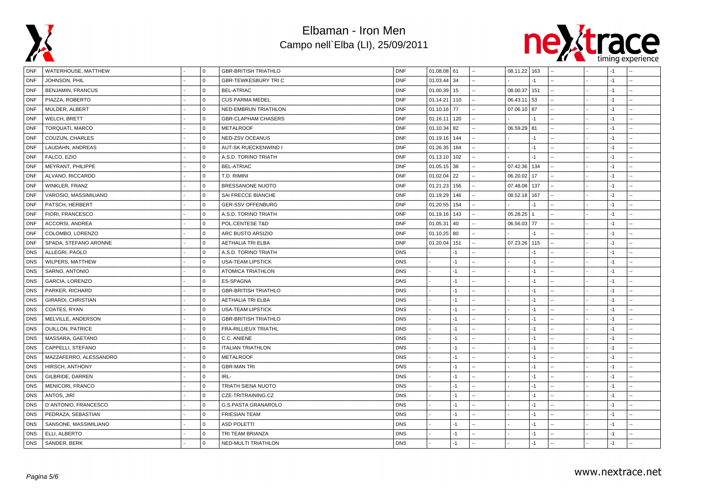



| DNF        | WATERHOUSE, MATTHEW     | 0           | <b>GBR-BRITISH TRIATHLO</b> | <b>DNF</b> | $01.08.08$ 61 |      | 08.11.22 163 |      |  | -1   |                |
|------------|-------------------------|-------------|-----------------------------|------------|---------------|------|--------------|------|--|------|----------------|
| <b>DNF</b> | JOHNSON, PHIL           | $\Omega$    | <b>GBR-TEWKESBURY TRIC</b>  | <b>DNF</b> | 01.03.44      | 34   |              | $-1$ |  | $-1$ |                |
| <b>DNF</b> | BENJAMIN, FRANCUS       | $\mathbf 0$ | <b>BEL-ATRIAC</b>           | <b>DNF</b> | 01.00.39      | 15   | 08.00.37     | 151  |  | $-1$ |                |
| <b>DNF</b> | PIAZZA, ROBERTO         | $\mathbf 0$ | <b>CUS PARMA MEDEL</b>      | <b>DNF</b> | 01.14.21      | 110  | 06.43.11     | 53   |  | $-1$ |                |
| <b>DNF</b> | MULDER, ALBERT          | $\mathbf 0$ | NED-EMBRUN TRIATHLON        | <b>DNF</b> | 01.10.16      | 77   | 07.06.10     | 87   |  | $-1$ |                |
| <b>DNF</b> | WELCH, BRETT            | $\Omega$    | <b>GBR-CLAPHAM CHASERS</b>  | <b>DNF</b> | 01.16.11      | 120  |              | -1   |  | $-1$ |                |
| <b>DNF</b> | <b>TORQUATI, MARCO</b>  | $\Omega$    | <b>METALROOF</b>            | <b>DNF</b> | 01.10.34      | 82   | 06.59.29     | 81   |  | $-1$ |                |
| <b>DNF</b> | COUZIJN, CHARLES        | $\Omega$    | NED-ZSV OCEANUS             | <b>DNF</b> | 01.19.16      | 144  |              | $-1$ |  | $-1$ |                |
| <b>DNF</b> | LAUDAHN, ANDREAS        | $\mathbf 0$ | AUT-SK RUECKENWIND I        | <b>DNF</b> | 01.26.35      | 164  |              | -1   |  | $-1$ |                |
| <b>DNF</b> | FALCO, EZIO             | $\Omega$    | A.S.D. TORINO TRIATH        | <b>DNF</b> | 01.13.10      | 102  |              | -1   |  | $-1$ |                |
| <b>DNF</b> | MEYRANT, PHILIPPE       | $\Omega$    | <b>BEL-ATRIAC</b>           | <b>DNF</b> | 01.05.15      | 38   | 07.42.36     | 134  |  | $-1$ |                |
| <b>DNF</b> | ALVANO, RICCARDO        | $\mathbf 0$ | T.D. RIMINI                 | <b>DNF</b> | 01.02.04      | 22   | 06.20.02     | 17   |  | $-1$ |                |
| <b>DNF</b> | WINKLER, FRANZ          | $\mathbf 0$ | BRESSANONE NUOTO            | <b>DNF</b> | 01.21.23      | 156  | 07.48.08     | 137  |  | $-1$ |                |
| <b>DNF</b> | VAROSIO, MASSIMILIANO   | $\mathbf 0$ | SAI FRECCE BIANCHE          | <b>DNF</b> | 01.19.29      | 146  | 08.52.18     | 167  |  | $-1$ |                |
| <b>DNF</b> | PATSCH, HERBERT         | $\Omega$    | <b>GER-SSV OFFENBURG</b>    | <b>DNF</b> | 01.20.55      | 154  |              | $-1$ |  | $-1$ |                |
| <b>DNF</b> | FIORI, FRANCESCO        | $\Omega$    | A.S.D. TORINO TRIATH        | <b>DNF</b> | 01.19.16      | 143  | 05.28.25     |      |  | $-1$ |                |
| <b>DNF</b> | ACCORSI, ANDREA         | $\Omega$    | POL.CENTESE T&D             | <b>DNF</b> | 01.05.31      | 40   | 06.56.03 77  |      |  | $-1$ |                |
| <b>DNF</b> | COLOMBO, LORENZO        | $\mathbf 0$ | ARC BUSTO ARSIZIO           | <b>DNF</b> | 01.10.25      | 80   |              | -1   |  | $-1$ |                |
| <b>DNF</b> | SPADA, STEFANO ARONNE   | $\Omega$    | <b>AETHALIA TRI ELBA</b>    | <b>DNF</b> | 01.20.04      | 151  | 07.23.26     | 115  |  | $-1$ |                |
| <b>DNS</b> | ALLEGRI, PAOLO          | $\mathbf 0$ | A.S.D. TORINO TRIATH        | <b>DNS</b> |               | -1   |              | $-1$ |  | $-1$ |                |
| <b>DNS</b> | WILPERS, MATTHEW        | $\Omega$    | <b>USA-TEAM LIPSTICK</b>    | <b>DNS</b> |               | $-1$ |              | -1   |  | $-1$ |                |
| <b>DNS</b> | SARNO, ANTONIO          | $\mathbf 0$ | <b>ATOMICA TRIATHLON</b>    | <b>DNS</b> |               | $-1$ |              | -1   |  | $-1$ | $\overline{a}$ |
| <b>DNS</b> | <b>GARCIA, LORENZO</b>  | $\Omega$    | ES-SPAGNA                   | <b>DNS</b> |               | $-1$ |              | $-1$ |  | $-1$ |                |
| <b>DNS</b> | PARKER, RICHARD         | $\Omega$    | <b>GBR-BRITISH TRIATHLO</b> | <b>DNS</b> |               | $-1$ |              | $-1$ |  | $-1$ |                |
| <b>DNS</b> | GIRARDI, CHRISTIAN      | $\Omega$    | <b>AETHALIA TRI ELBA</b>    | <b>DNS</b> |               | -1   |              | $-1$ |  | $-1$ |                |
| <b>DNS</b> | COATES, RYAN            | $\mathbf 0$ | <b>USA-TEAM LIPSTICK</b>    | <b>DNS</b> |               | $-1$ |              | -1   |  | $-1$ |                |
| <b>DNS</b> | MELVILLE, ANDERSON      | $\Omega$    | <b>GBR-BRITISH TRIATHLO</b> | <b>DNS</b> |               | $-1$ |              | $-1$ |  | $-1$ |                |
| <b>DNS</b> | <b>OUILLON, PATRICE</b> | $\Omega$    | FRA-RILLIEUX TRIATHL        | <b>DNS</b> |               | $-1$ |              | -1   |  | $-1$ |                |
| <b>DNS</b> | MASSARA, GAETANO        | $\mathbf 0$ | C.C. ANIENE                 | <b>DNS</b> |               | $-1$ |              | $-1$ |  | $-1$ |                |
| <b>DNS</b> | CAPPELLI, STEFANO       | $\mathbf 0$ | <b>ITALIAN TRIATHLON</b>    | <b>DNS</b> |               | $-1$ |              | -1   |  | $-1$ | u.             |
| <b>DNS</b> | MAZZAFERRO, ALESSANDRO  | $\mathbf 0$ | <b>METALROOF</b>            | <b>DNS</b> |               | $-1$ |              | $-1$ |  | $-1$ |                |
| <b>DNS</b> | HIRSCH, ANTHONY         | $\Omega$    | <b>GBR-MAN TRI</b>          | <b>DNS</b> |               | $-1$ |              | $-1$ |  | $-1$ |                |
| <b>DNS</b> | GILBRIDE, DARREN        | $\Omega$    | IRL-                        | <b>DNS</b> |               | -1   |              | -1   |  | $-1$ |                |
| <b>DNS</b> | MENICORI, FRANCO        | $\mathbf 0$ | TRIATH SIENA NUOTO          | <b>DNS</b> |               | $-1$ |              | $-1$ |  | $-1$ |                |
| <b>DNS</b> | ANTOS, JIRÍ             | $\mathbf 0$ | CZE-TRITRAINING.CZ          | <b>DNS</b> |               | $-1$ |              | -1   |  | $-1$ |                |
| <b>DNS</b> | D'ANTONIO, FRANCESCO    | $\Omega$    | G.S.PASTA GRANAROLO         | <b>DNS</b> |               | -1   |              | -1   |  | $-1$ |                |
| <b>DNS</b> | PEDRAZA, SEBASTIAN      | $\Omega$    | <b>FRIESIAN TEAM</b>        | <b>DNS</b> |               | -1   |              | -1   |  | $-1$ |                |
| <b>DNS</b> | SANSONE, MASSIMILIANO   | $\Omega$    | <b>ASD POLETTI</b>          | <b>DNS</b> |               | $-1$ |              | -1   |  | $-1$ |                |
| <b>DNS</b> | ELLI, ALBERTO           | $\mathbf 0$ | TRI TEAM BRIANZA            | <b>DNS</b> |               | $-1$ |              | -1   |  | $-1$ | Ξ.             |
| <b>DNS</b> | SANDER, BERK            | $\Omega$    | NED-MULTI TRIATHLON         | <b>DNS</b> |               | $-1$ |              | $-1$ |  | $-1$ |                |